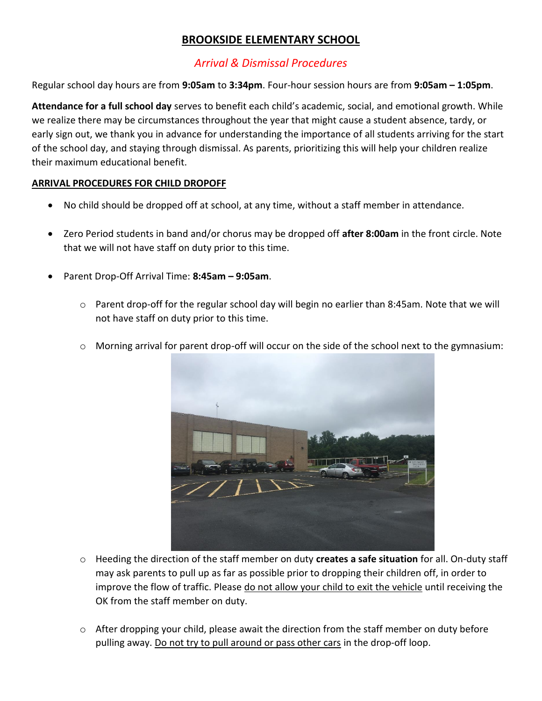## **BROOKSIDE ELEMENTARY SCHOOL**

## *Arrival & Dismissal Procedures*

Regular school day hours are from **9:05am** to **3:34pm**. Four-hour session hours are from **9:05am – 1:05pm**.

**Attendance for a full school day** serves to benefit each child's academic, social, and emotional growth. While we realize there may be circumstances throughout the year that might cause a student absence, tardy, or early sign out, we thank you in advance for understanding the importance of all students arriving for the start of the school day, and staying through dismissal. As parents, prioritizing this will help your children realize their maximum educational benefit.

## **ARRIVAL PROCEDURES FOR CHILD DROPOFF**

- No child should be dropped off at school, at any time, without a staff member in attendance.
- Zero Period students in band and/or chorus may be dropped off **after 8:00am** in the front circle. Note that we will not have staff on duty prior to this time.
- Parent Drop-Off Arrival Time: **8:45am – 9:05am**.
	- $\circ$  Parent drop-off for the regular school day will begin no earlier than 8:45am. Note that we will not have staff on duty prior to this time.
	- o Morning arrival for parent drop-off will occur on the side of the school next to the gymnasium:



- o Heeding the direction of the staff member on duty **creates a safe situation** for all. On-duty staff may ask parents to pull up as far as possible prior to dropping their children off, in order to improve the flow of traffic. Please do not allow your child to exit the vehicle until receiving the OK from the staff member on duty.
- o After dropping your child, please await the direction from the staff member on duty before pulling away. Do not try to pull around or pass other cars in the drop-off loop.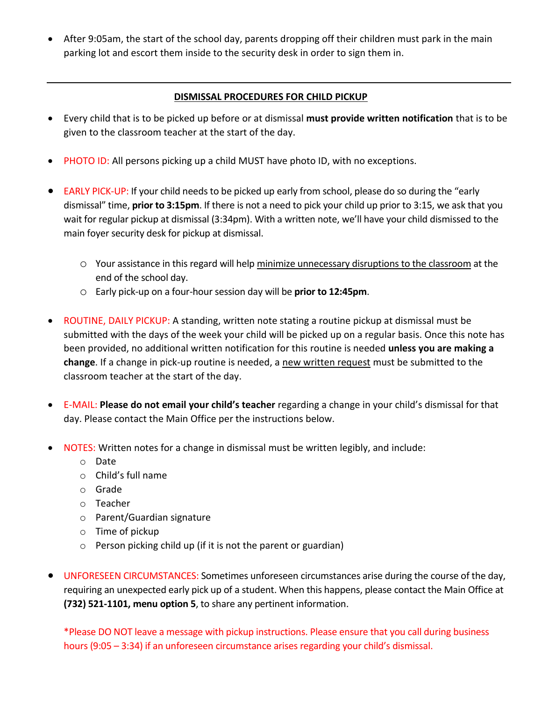After 9:05am, the start of the school day, parents dropping off their children must park in the main parking lot and escort them inside to the security desk in order to sign them in.

## **DISMISSAL PROCEDURES FOR CHILD PICKUP**

- Every child that is to be picked up before or at dismissal **must provide written notification** that is to be given to the classroom teacher at the start of the day.
- PHOTO ID: All persons picking up a child MUST have photo ID, with no exceptions.
- EARLY PICK-UP: If your child needs to be picked up early from school, please do so during the "early dismissal" time, **prior to 3:15pm**. If there is not a need to pick your child up prior to 3:15, we ask that you wait for regular pickup at dismissal (3:34pm). With a written note, we'll have your child dismissed to the main foyer security desk for pickup at dismissal.
	- o Your assistance in this regard will help minimize unnecessary disruptions to the classroom at the end of the school day.
	- o Early pick-up on a four-hour session day will be **prior to 12:45pm**.
- ROUTINE, DAILY PICKUP: A standing, written note stating a routine pickup at dismissal must be submitted with the days of the week your child will be picked up on a regular basis. Once this note has been provided, no additional written notification for this routine is needed **unless you are making a change**. If a change in pick-up routine is needed, a new written request must be submitted to the classroom teacher at the start of the day.
- E-MAIL: **Please do not email your child's teacher** regarding a change in your child's dismissal for that day. Please contact the Main Office per the instructions below.
- NOTES: Written notes for a change in dismissal must be written legibly, and include:
	- o Date
	- o Child's full name
	- o Grade
	- o Teacher
	- o Parent/Guardian signature
	- o Time of pickup
	- o Person picking child up (if it is not the parent or guardian)
- UNFORESEEN CIRCUMSTANCES: Sometimes unforeseen circumstances arise during the course of the day, requiring an unexpected early pick up of a student. When this happens, please contact the Main Office at **(732) 521-1101, menu option 5**, to share any pertinent information.

\*Please DO NOT leave a message with pickup instructions. Please ensure that you call during business hours (9:05 – 3:34) if an unforeseen circumstance arises regarding your child's dismissal.